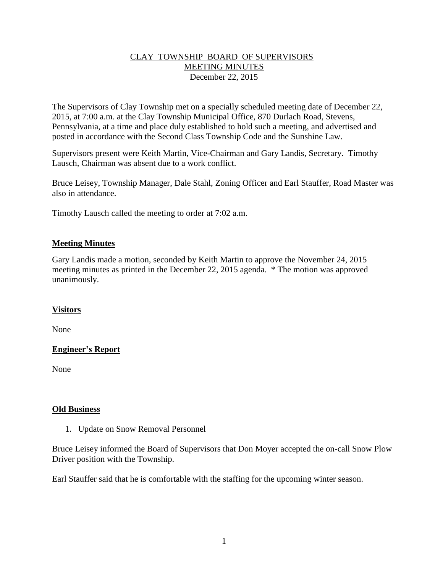## CLAY TOWNSHIP BOARD OF SUPERVISORS MEETING MINUTES December 22, 2015

The Supervisors of Clay Township met on a specially scheduled meeting date of December 22, 2015, at 7:00 a.m. at the Clay Township Municipal Office, 870 Durlach Road, Stevens, Pennsylvania, at a time and place duly established to hold such a meeting, and advertised and posted in accordance with the Second Class Township Code and the Sunshine Law.

Supervisors present were Keith Martin, Vice-Chairman and Gary Landis, Secretary. Timothy Lausch, Chairman was absent due to a work conflict.

Bruce Leisey, Township Manager, Dale Stahl, Zoning Officer and Earl Stauffer, Road Master was also in attendance.

Timothy Lausch called the meeting to order at 7:02 a.m.

# **Meeting Minutes**

Gary Landis made a motion, seconded by Keith Martin to approve the November 24, 2015 meeting minutes as printed in the December 22, 2015 agenda. \* The motion was approved unanimously.

# **Visitors**

None

# **Engineer's Report**

None

#### **Old Business**

1. Update on Snow Removal Personnel

Bruce Leisey informed the Board of Supervisors that Don Moyer accepted the on-call Snow Plow Driver position with the Township.

Earl Stauffer said that he is comfortable with the staffing for the upcoming winter season.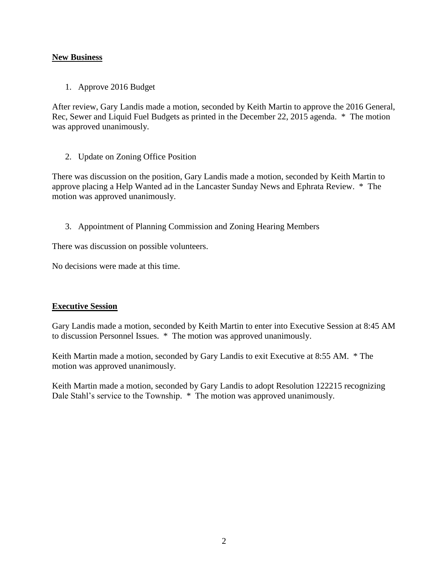## **New Business**

1. Approve 2016 Budget

After review, Gary Landis made a motion, seconded by Keith Martin to approve the 2016 General, Rec, Sewer and Liquid Fuel Budgets as printed in the December 22, 2015 agenda. \* The motion was approved unanimously.

2. Update on Zoning Office Position

There was discussion on the position, Gary Landis made a motion, seconded by Keith Martin to approve placing a Help Wanted ad in the Lancaster Sunday News and Ephrata Review. \* The motion was approved unanimously.

3. Appointment of Planning Commission and Zoning Hearing Members

There was discussion on possible volunteers.

No decisions were made at this time.

#### **Executive Session**

Gary Landis made a motion, seconded by Keith Martin to enter into Executive Session at 8:45 AM to discussion Personnel Issues. \* The motion was approved unanimously.

Keith Martin made a motion, seconded by Gary Landis to exit Executive at 8:55 AM.  $*$  The motion was approved unanimously.

Keith Martin made a motion, seconded by Gary Landis to adopt Resolution 122215 recognizing Dale Stahl's service to the Township. \* The motion was approved unanimously.